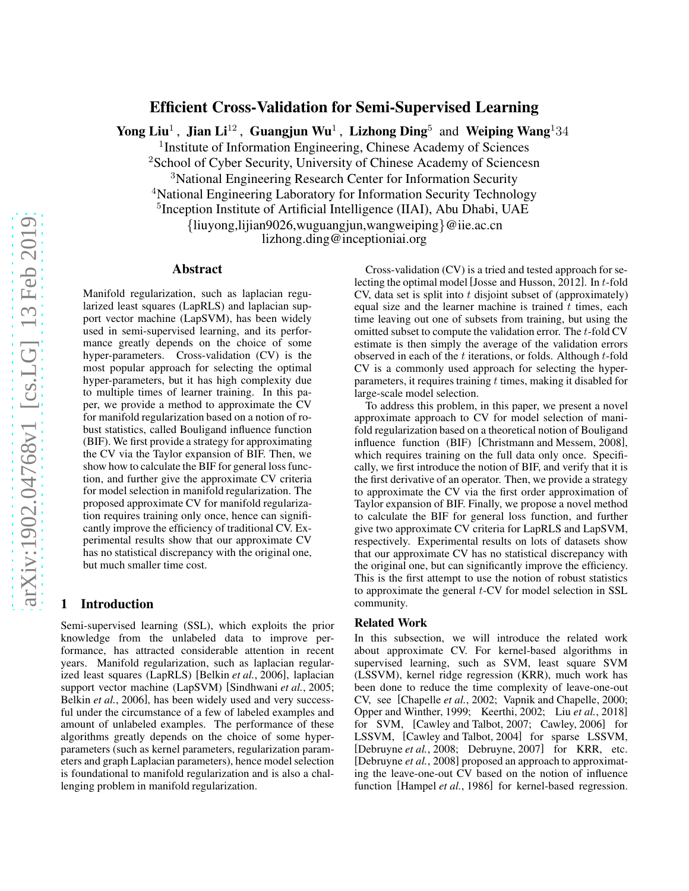# Efficient Cross-Validation for Semi-Supervised Learning

Yong Liu<sup>1</sup>, Jian Li<sup>12</sup>, Guangjun Wu<sup>1</sup>, Lizhong Ding<sup>5</sup> and Weiping Wang<sup>1</sup>34

<sup>1</sup> Institute of Information Engineering, Chinese Academy of Sciences

<sup>2</sup>School of Cyber Security, University of Chinese Academy of Sciencesn

<sup>3</sup>National Engineering Research Center for Information Security

<sup>4</sup>National Engineering Laboratory for Information Security Technology

<sup>5</sup>Inception Institute of Artificial Intelligence (IIAI), Abu Dhabi, UAE

{liuyong,lijian9026,wuguangjun,wangweiping}@iie.ac.cn

lizhong.ding@inceptioniai.org

### Abstract

Manifold regularization, such as laplacian regularized least squares (LapRLS) and laplacian support vector machine (LapSVM), has been widely used in semi-supervised learning, and its performance greatly depends on the choice of some hyper-parameters. Cross-validation (CV) is the most popular approach for selecting the optimal hyper-parameters, but it has high complexity due to multiple times of learner training. In this paper, we provide a method to approximate the CV for manifold regularization based on a notion of robust statistics, called Bouligand influence function (BIF). We first provide a strategy for approximating the CV via the Taylor expansion of BIF. Then, we show how to calculate the BIF for general loss function, and further give the approximate CV criteria for model selection in manifold regularization. The proposed approximate CV for manifold regularization requires training only once, hence can significantly improve the efficiency of traditional CV. Experimental results show that our approximate CV has no statistical discrepancy with the original one, but much smaller time cost.

### 1 Introduction

Semi-supervised learning (SSL), which exploits the prior knowledge from the unlabeled data to improve performance, has attracted considerable attention in recent years. Manifold regularization, such as laplacian regularized least squares (LapRLS) [\[Belkin](#page-6-0) *et al.*, 2006], laplacian support vector machine (LapSVM) [\[Sindhwani](#page-6-1) *et al.*, 2005; Belkin *et al.*[, 2006\]](#page-6-0), has been widely used and very successful under the circumstance of a few of labeled examples and amount of unlabeled examples. The performance of these algorithms greatly depends on the choice of some hyperparameters (such as kernel parameters, regularization parameters and graph Laplacian parameters), hence model selection is foundational to manifold regularization and is also a challenging problem in manifold regularization.

Cross-validation (CV) is a tried and tested approach for selecting the optimal model [\[Josse and Husson, 2012\]](#page-6-2). In t-fold  $CV$ , data set is split into t disjoint subset of (approximately) equal size and the learner machine is trained  $t$  times, each time leaving out one of subsets from training, but using the omitted subset to compute the validation error. The t-fold CV estimate is then simply the average of the validation errors observed in each of the  $t$  iterations, or folds. Although  $t$ -fold CV is a commonly used approach for selecting the hyperparameters, it requires training  $t$  times, making it disabled for large-scale model selection.

To address this problem, in this paper, we present a novel approximate approach to CV for model selection of manifold regularization based on a theoretical notion of Bouligand influence function (BIF) [\[Christmann and Messem, 2008\]](#page-6-3), which requires training on the full data only once. Specifically, we first introduce the notion of BIF, and verify that it is the first derivative of an operator. Then, we provide a strategy to approximate the CV via the first order approximation of Taylor expansion of BIF. Finally, we propose a novel method to calculate the BIF for general loss function, and further give two approximate CV criteria for LapRLS and LapSVM, respectively. Experimental results on lots of datasets show that our approximate CV has no statistical discrepancy with the original one, but can significantly improve the efficiency. This is the first attempt to use the notion of robust statistics to approximate the general t-CV for model selection in SSL community.

#### Related Work

In this subsection, we will introduce the related work about approximate CV. For kernel-based algorithms in supervised learning, such as SVM, least square SVM (LSSVM), kernel ridge regression (KRR), much work has been done to reduce the time complexity of leave-one-out CV, see [\[Chapelle](#page-6-4) *et al.*, 2002; [Vapnik and Chapelle, 2000;](#page-6-5) [Opper and Winther, 1999;](#page-6-6) [Keerthi, 2002;](#page-6-7) Liu *et al.*[, 2018\]](#page-6-8) for SVM, [\[Cawley and Talbot, 2007;](#page-6-9) [Cawley, 2006\]](#page-6-10) for LSSVM, [\[Cawley and Talbot, 2004\]](#page-6-11) for sparse LSSVM, [\[Debruyne](#page-6-12) *et al.*, 2008; [Debruyne, 2007\]](#page-6-13) for KRR, etc. [\[Debruyne](#page-6-12) *et al.*, 2008] proposed an approach to approximating the leave-one-out CV based on the notion of influence function [\[Hampel](#page-6-14) *et al.*, 1986] for kernel-based regression.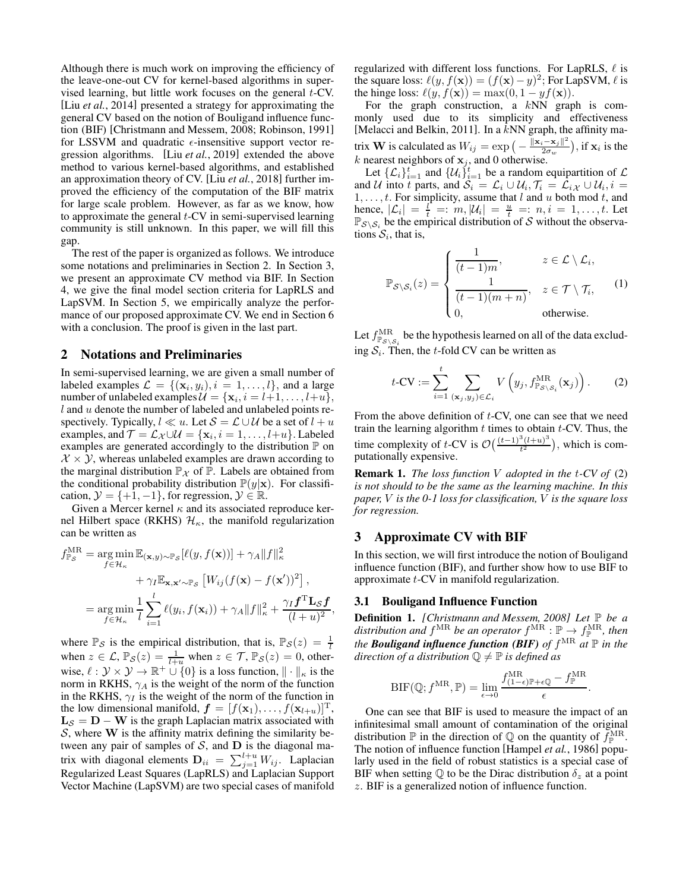Although there is much work on improving the efficiency of the leave-one-out CV for kernel-based algorithms in supervised learning, but little work focuses on the general t-CV. [Liu *et al.*[, 2014\]](#page-6-15) presented a strategy for approximating the general CV based on the notion of Bouligand influence function (BIF) [\[Christmann and Messem, 2008;](#page-6-3) [Robinson, 1991\]](#page-6-16) for LSSVM and quadratic  $\epsilon$ -insensitive support vector regression algorithms. [Liu *et al.*[, 2019\]](#page-6-17) extended the above method to various kernel-based algorithms, and established an approximation theory of CV. [Liu *et al.*[, 2018\]](#page-6-8) further improved the efficiency of the computation of the BIF matrix for large scale problem. However, as far as we know, how to approximate the general  $t$ -CV in semi-supervised learning community is still unknown. In this paper, we will fill this gap.

The rest of the paper is organized as follows. We introduce some notations and preliminaries in Section 2. In Section 3, we present an approximate CV method via BIF. In Section 4, we give the final model section criteria for LapRLS and LapSVM. In Section 5, we empirically analyze the performance of our proposed approximate CV. We end in Section 6 with a conclusion. The proof is given in the last part.

### 2 Notations and Preliminaries

In semi-supervised learning, we are given a small number of labeled examples  $\mathcal{L} = \{(\mathbf{x}_i, y_i), i = 1, ..., l\}$ , and a large number of unlabeled examples  $\mathcal{U} = {\mathbf{x}_i, i = l+1, ..., l+u}$ ,  $l$  and  $u$  denote the number of labeled and unlabeled points respectively. Typically,  $l \ll u$ . Let  $S = \mathcal{L} \cup \mathcal{U}$  be a set of  $l + u$ examples, and  $\mathcal{T} = \mathcal{L}_{\mathcal{X}} \cup \mathcal{U} = \{x_i, i = 1, \dots, l+u\}$ . Labeled examples are generated accordingly to the distribution  $\mathbb P$  on  $X \times Y$ , whereas unlabeled examples are drawn according to the marginal distribution  $\mathbb{P}_{\mathcal{X}}$  of  $\mathbb{P}$ . Labels are obtained from the conditional probability distribution  $\mathbb{P}(y|\mathbf{x})$ . For classification,  $\mathcal{Y} = \{+1, -1\}$ , for regression,  $\mathcal{Y} \in \mathbb{R}$ .

Given a Mercer kernel  $\kappa$  and its associated reproduce kernel Hilbert space (RKHS)  $\mathcal{H}_{\kappa}$ , the manifold regularization can be written as

$$
f_{\mathbb{P}_{\mathcal{S}}}^{\text{MR}} = \underset{f \in \mathcal{H}_{\kappa}}{\arg \min} \mathbb{E}_{(\mathbf{x}, y) \sim \mathbb{P}_{\mathcal{S}}} [\ell(y, f(\mathbf{x}))] + \gamma_A ||f||_{\kappa}^2
$$

$$
+ \gamma_I \mathbb{E}_{\mathbf{x}, \mathbf{x}' \sim \mathbb{P}_{\mathcal{S}}} [W_{ij} (f(\mathbf{x}) - f(\mathbf{x}'))^2],
$$

$$
= \underset{f \in \mathcal{H}_{\kappa}}{\arg \min} \frac{1}{l} \sum_{i=1}^{l} \ell(y_i, f(\mathbf{x}_i)) + \gamma_A ||f||_{\kappa}^2 + \frac{\gamma_I f^{\text{T}} \mathbf{L}_{\mathcal{S}} f}{(l+u)^2}
$$

where  $\mathbb{P}_{\mathcal{S}}$  is the empirical distribution, that is,  $\mathbb{P}_{\mathcal{S}}(z) = \frac{1}{l}$ when  $z \in \mathcal{L}$ ,  $\mathbb{P}_{\mathcal{S}}(z) = \frac{1}{l+u}$  when  $z \in \mathcal{T}$ ,  $\mathbb{P}_{\mathcal{S}}(z) = 0$ , otherwise,  $\ell : \mathcal{Y} \times \mathcal{Y} \to \mathbb{R}^+ \cup \{0\}$  is a loss function,  $\|\cdot\|_{\kappa}$  is the norm in RKHS,  $\gamma_A$  is the weight of the norm of the function in the RKHS,  $\gamma_I$  is the weight of the norm of the function in the low dimensional manifold,  $\mathbf{f} = [f(\mathbf{x}_1), \dots, f(\mathbf{x}_{l+u})]^T$ ,  $L_S = D - W$  is the graph Laplacian matrix associated with S, where  $W$  is the affinity matrix defining the similarity between any pair of samples of  $S$ , and  $D$  is the diagonal matrix with diagonal elements  $D_{ii} = \sum_{j=1}^{l+u} W_{ij}$ . Laplacian Regularized Least Squares (LapRLS) and Laplacian Support Vector Machine (LapSVM) are two special cases of manifold regularized with different loss functions. For LapRLS,  $\ell$  is the square loss:  $\ell(y, f(\mathbf{x})) = (f(\mathbf{x}) - y)^2$ ; For LapSVM,  $\ell$  is the hinge loss:  $\ell(y, f(\mathbf{x})) = \max(0, 1 - yf(\mathbf{x})).$ 

For the graph construction, a  $kNN$  graph is commonly used due to its simplicity and effectiveness [\[Melacci and Belkin, 2011\]](#page-6-18). In a kNN graph, the affinity matrix **W** is calculated as  $W_{ij} = \exp\left(-\frac{\|\mathbf{x}_i - \mathbf{x}_j\|^2}{2\sigma_w}\right)$  $\frac{(-\mathbf{x}_j\|^2}{2\sigma_w})$ , if  $\mathbf{x}_i$  is the k nearest neighbors of  $x_j$ , and 0 otherwise.

Let  $\{\mathcal{L}_i\}_{i=1}^t$  and  $\{U_i\}_{i=1}^t$  be a random equipartition of  $\mathcal{L}$ and U into t parts, and  $S_i = \mathcal{L}_i \cup \mathcal{U}_i$ ,  $\mathcal{T}_i = \mathcal{L}_i \times \cup \mathcal{U}_i$ ,  $i =$  $1, \ldots, t$ . For simplicity, assume that l and u both mod t, and hence,  $|\mathcal{L}_i| = \frac{l}{t} =: m, |\mathcal{U}_i| = \frac{u}{t} =: n, i = 1, \dots, t$ . Let  $\mathbb{P}_{\mathcal{S}\setminus\mathcal{S}_i}$  be the empirical distribution of S without the observations  $S_i$ , that is,

<span id="page-1-1"></span>
$$
\mathbb{P}_{\mathcal{S}\backslash\mathcal{S}_i}(z) = \begin{cases}\n\frac{1}{(t-1)m}, & z \in \mathcal{L}\setminus\mathcal{L}_i, \\
\frac{1}{(t-1)(m+n)}, & z \in \mathcal{T}\setminus\mathcal{T}_i, \\
0, & \text{otherwise.} \n\end{cases}
$$
\n(1)

Let  $f_{\mathbb{P}_{\mathcal{S}\backslash \mathcal{S}_i}}^{\text{MR}}$  be the hypothesis learned on all of the data excluding  $S_i$ . Then, the t-fold CV can be written as

<span id="page-1-0"></span>
$$
t-CV := \sum_{i=1}^{t} \sum_{(\mathbf{x}_j, y_j) \in \mathcal{L}_i} V\left(y_j, f_{\mathbb{P}_{\mathcal{S} \setminus \mathcal{S}_i}}^{\text{MR}}(\mathbf{x}_j)\right).
$$
 (2)

From the above definition of t-CV, one can see that we need train the learning algorithm  $t$  times to obtain  $t$ -CV. Thus, the time complexity of t-CV is  $\mathcal{O}\left(\frac{(t-1)^3 (l+u)^3}{t^2}\right)$  $\frac{t^{3}(l+u)^{3}}{t^{2}}$ , which is computationally expensive.

Remark 1. *The loss function* V *adopted in the* t*-CV of* [\(2\)](#page-1-0) *is not should to be the same as the learning machine. In this paper,* V *is the 0-1 loss for classification,* V *is the square loss for regression.*

#### 3 Approximate CV with BIF

In this section, we will first introduce the notion of Bouligand influence function (BIF), and further show how to use BIF to approximate t-CV in manifold regularization.

#### 3.1 Bouligand Influence Function

,

Definition 1. *[\[Christmann and Messem, 2008\]](#page-6-3) Let* P *be a* distribution and  $f^{\text{MR}}$  be an operator  $f^{\text{MR}} : \mathbb{P} \to f^{\text{MR}}_{\mathbb{P}}$ , then *the Bouligand influence function (BIF) of* f MR *at* P *in the direction of a distribution*  $\mathbb{Q} \neq \mathbb{P}$  *is defined as* 

$$
\mathrm{BIF}(\mathbb{Q};f^{\mathrm{MR}},\mathbb{P})=\lim_{\epsilon\rightarrow 0}\frac{f^{\mathrm{MR}}_{(1-\epsilon)\mathbb{P}+\epsilon\mathbb{Q}}-f^{\mathrm{MR}}_{\mathbb{P}}}{\epsilon}.
$$

One can see that BIF is used to measure the impact of an infinitesimal small amount of contamination of the original distribution  $\mathbb P$  in the direction of  $\mathbb Q$  on the quantity of  $\tilde{f}_{\mathbb P}^{\text{MR}}$ . The notion of influence function [\[Hampel](#page-6-14) *et al.*, 1986] popularly used in the field of robust statistics is a special case of BIF when setting  $\mathbb Q$  to be the Dirac distribution  $\delta_z$  at a point z. BIF is a generalized notion of influence function.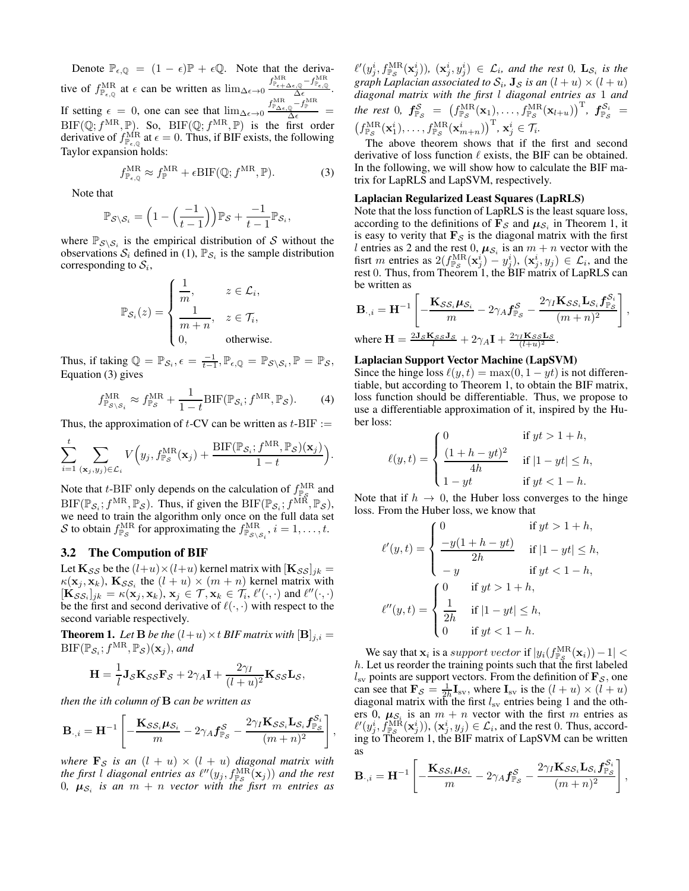Denote  $\mathbb{P}_{\epsilon, \mathbb{Q}} = (1 - \epsilon)\mathbb{P} + \epsilon \mathbb{Q}$ . Note that the derivative of  $f_{\mathbb{P}_{\epsilon,\mathbb{Q}}}^{\text{MR}}$  at  $\epsilon$  can be written as  $\lim_{\Delta \epsilon \to 0} \frac{f_{\mathbb{P}_{\epsilon+\Delta \epsilon,\mathbb{Q}}}^{\text{MR}} - f_{\mathbb{P}_{\epsilon,\mathbb{Q}}}^{\text{MR}}}{\Delta \epsilon}$ . If setting  $\epsilon = 0$ , one can see that  $\lim_{\Delta \epsilon \to 0} \frac{f_{\text{P}\Delta \epsilon, \mathbb{Q}}^{\text{MR}} - f_{\text{P}}^{\text{MR}}}{\Delta \epsilon}$  $BIF(\mathbb{Q}; f^{MR}, \mathbb{P})$ . So,  $BIF(\mathbb{Q}; f^{MR}, \mathbb{P})$  is the first order derivative of  $f_{\mathbb{P}_{\epsilon,\mathbb{Q}}}^{\text{MR}}$  at  $\epsilon = 0$ . Thus, if BIF exists, the following Taylor expansion holds:

$$
f_{\mathbb{P}_{\epsilon,\mathbb{Q}}}^{\text{MR}} \approx f_{\mathbb{P}}^{\text{MR}} + \epsilon \text{BIF}(\mathbb{Q}; f^{\text{MR}}, \mathbb{P}). \tag{3}
$$

Note that

$$
\mathbb{P}_{\mathcal{S}\setminus\mathcal{S}_i} = \left(1 - \left(\frac{-1}{t-1}\right)\right)\mathbb{P}_{\mathcal{S}} + \frac{-1}{t-1}\mathbb{P}_{\mathcal{S}_i},
$$

where  $\mathbb{P}_{\mathcal{S}\setminus\mathcal{S}_i}$  is the empirical distribution of S without the observations  $S_i$  defined in [\(1\)](#page-1-1),  $\mathbb{P}_{S_i}$  is the sample distribution corresponding to  $S_i$ ,

$$
\mathbb{P}_{\mathcal{S}_i}(z) = \begin{cases} \frac{1}{m}, & z \in \mathcal{L}_i, \\ \frac{1}{m+n}, & z \in \mathcal{T}_i, \\ 0, & \text{otherwise.} \end{cases}
$$

Thus, if taking  $\mathbb{Q} = \mathbb{P}_{\mathcal{S}_i}, \epsilon = \frac{-1}{t-1}, \mathbb{P}_{\epsilon, \mathbb{Q}} = \mathbb{P}_{\mathcal{S} \setminus \mathcal{S}_i}, \mathbb{P} = \mathbb{P}_{\mathcal{S}},$ Equation [\(3\)](#page-2-0) gives

$$
f_{\mathbb{P}_{\mathcal{S}\backslash\mathcal{S}_i}}^{\text{MR}} \approx f_{\mathbb{P}_{\mathcal{S}}}^{\text{MR}} + \frac{1}{1-t} \text{BIF}(\mathbb{P}_{\mathcal{S}_i}; f^{\text{MR}}, \mathbb{P}_{\mathcal{S}}). \tag{4}
$$

Thus, the approximation of  $t$ -CV can be written as  $t$ -BIF :=

$$
\sum_{i=1}^t \sum_{(\mathbf{x}_j, y_j) \in \mathcal{L}_i} V(y_j, f_{\mathbb{P}_{\mathcal{S}}}^{\text{MR}}(\mathbf{x}_j) + \frac{\text{BIF}(\mathbb{P}_{\mathcal{S}_i}; f^{\text{MR}}, \mathbb{P}_{\mathcal{S}})(\mathbf{x}_j)}{1-t}).
$$

Note that *t*-BIF only depends on the calculation of  $f_{\rm P_c}^{\rm MR}$  and FOR that  $i$ -DIF only depends on the calculation of  $j_{\mathbb{P}_S}$  and  $BIF(\mathbb{P}_{S_i}; f^{MR}, \mathbb{P}_S)$ , we need to train the algorithm only once on the full data set S to obtain  $f_{\mathbb{P}_{\mathcal{S}}}^{\text{MR}}$  for approximating the  $f_{\mathbb{P}_{\mathcal{S}\setminus\mathcal{S}_i}}^{\text{MR}}, i = 1, \ldots, t$ .

#### 3.2 The Compution of BIF

Let  $\mathbf{K}_{\mathcal{S}\mathcal{S}}$  be the  $(l+u)\times(l+u)$  kernel matrix with  $[\mathbf{K}_{\mathcal{S}\mathcal{S}}]_{jk} =$  $\kappa(\mathbf{x}_j, \mathbf{x}_k)$ ,  $\mathbf{K}_{\mathcal{S}\mathcal{S}_i}$  the  $(l + u) \times (m + n)$  kernel matrix with  $[\mathbf{K}_{\mathcal{SS}_i}]_{jk} = \kappa(\mathbf{x}_j, \mathbf{x}_k), \mathbf{x}_j \in \mathcal{T}, \mathbf{x}_k \in \mathcal{T}_i, \ell'(\cdot, \cdot) \text{ and } \ell''(\cdot, \cdot)$ be the first and second derivative of  $\ell(\cdot, \cdot)$  with respect to the second variable respectively.

<span id="page-2-1"></span>**Theorem 1.** Let **B** be the  $(l+u) \times t$  **BIF** matrix with  $[\mathbf{B}]_{j,i} =$  $\text{BIF}(\mathbb{P}_{\mathcal{S}_i}; f^{\text{MR}}, \mathbb{P}_{\mathcal{S}})(\mathbf{x}_j),$  and

$$
\mathbf{H} = \frac{1}{l} \mathbf{J}_{\mathcal{S}} \mathbf{K}_{\mathcal{S}\mathcal{S}} \mathbf{F}_{\mathcal{S}} + 2\gamma_A \mathbf{I} + \frac{2\gamma_I}{(l+u)^2} \mathbf{K}_{\mathcal{S}\mathcal{S}} \mathbf{L}_{\mathcal{S}},
$$

*then the* i*th column of* B *can be written as*

$$
\mathbf{B}_{\cdot,i} = \mathbf{H}^{-1} \left[ -\frac{\mathbf{K}_{\mathcal{SS}_i} \boldsymbol{\mu}_{\mathcal{S}_i}}{m} - 2\gamma_A \boldsymbol{f}_{\mathbb{P}_{\mathcal{S}}}^{\mathcal{S}} - \frac{2\gamma_I \mathbf{K}_{\mathcal{SS}_i} \mathbf{L}_{\mathcal{S}_i} \boldsymbol{f}_{\mathbb{P}_{\mathcal{S}}}^{\mathcal{S}_i}}{(m+n)^2} \right],
$$

*where*  $\mathbf{F}_{\mathcal{S}}$  *is an*  $(l + u) \times (l + u)$  *diagonal matrix with* the first l diagonal entries as  $\ell''(y_j, f_{\mathbb{P}_{\mathcal{S}}}^{\text{MR}}(\mathbf{x}_j))$  and the rest  $0, \mu_{\mathcal{S}_i}$  is an  $m + n$  *vector with the fisrt*  $m$  *entries as* 

 $\ell'(y_j^i, f_{\mathbb{P}_{\mathcal{S}}}^{\text{MR}}(\mathbf{x}_j^i))$ ,  $(\mathbf{x}_j^i, y_j^i) \in \mathcal{L}_i$ , and the rest 0,  $\mathbf{L}_{\mathcal{S}_i}$  is the graph Laplacian associated to  $S_i$ ,  $\mathbf{J}_\mathcal{S}$  *is an*  $(l + u) \times (l + u)$ *diagonal matrix with the first* l *diagonal entries as* 1 *and the rest* 0*,*  $\bm{f}_{\mathbb{P}_{\mathcal{S}}}^{\mathcal{S}}$  =  $\left(f_{\mathbb{P}_{\mathcal{S}}}^{\text{MR}}(\mathbf{x}_1), \ldots, f_{\mathbb{P}_{\mathcal{S}}}^{\text{MR}}(\mathbf{x}_{l+u})\right)^{\text{T}}$ ,  $\bm{f}_{\mathbb{P}_{\mathcal{S}}}^{\mathcal{S}_{i}}$  =  $(f_{\mathbb{P}_{\mathcal{S}}}^{\text{MR}}(\mathbf{x}_1^i), \ldots, f_{\mathbb{P}_{\mathcal{S}}}^{\text{MR}}(\mathbf{x}_{m+n}^i))^{\text{T}}, \mathbf{x}_j^i \in \mathcal{T}_i.$ 

<span id="page-2-0"></span>The above theorem shows that if the first and second derivative of loss function  $\ell$  exists, the BIF can be obtained. In the following, we will show how to calculate the BIF matrix for LapRLS and LapSVM, respectively.

#### Laplacian Regularized Least Squares (LapRLS)

Note that the loss function of LapRLS is the least square loss, according to the definitions of  $\mathbf{F}_{\mathcal{S}}$  and  $\mu_{\mathcal{S}_i}$  in Theorem [1,](#page-2-1) it is easy to verity that  $\mathbf{F}_{\mathcal{S}}$  is the diagonal matrix with the first l entries as 2 and the rest 0,  $\mu_{\mathcal{S}_i}$  is an  $m + n$  vector with the fisrt m entries as  $2(f_{\mathbb{P}_{\mathcal{S}}}^{\text{MR}}(\mathbf{x}_j^i) - y_j^i), (\mathbf{x}_j^i, y_j) \in \mathcal{L}_i$ , and the rest 0. Thus, from Theorem [1,](#page-2-1) the BIF matrix of LapRLS can be written as

$$
\begin{aligned} \mathbf{B}_{\cdot,i} &= \mathbf{H}^{-1}\left[-\frac{\mathbf{K}_{\mathcal{SS}_i}\boldsymbol{\mu}_{\mathcal{S}_i}}{m} - 2\gamma_A\boldsymbol{f}_{\mathbb{P}_{\mathcal{S}}}^{\mathcal{S}} - \frac{2\gamma_I\mathbf{K}_{\mathcal{SS}_i}\mathbf{L}_{\mathcal{S}_i}\boldsymbol{f}_{\mathbb{P}_{\mathcal{S}}}^{\mathcal{S}_i}}{(m+n)^2}\right], \\ \text{where } \mathbf{H} &= \frac{2\mathbf{J}_{\mathcal{S}}\mathbf{K}_{\mathcal{S}\mathcal{S}}\mathbf{J}_{\mathcal{S}}}{l^{2}} + 2\gamma_A\mathbf{I} + \frac{2\gamma_I\mathbf{K}_{\mathcal{SS}}\mathbf{L}_{\mathcal{S}}}{(l+n)^2}. \end{aligned}
$$

#### Laplacian Support Vector Machine (LapSVM)

Since the hinge loss  $\ell(y, t) = \max(0, 1 - yt)$  is not differentiable, but according to Theorem [1,](#page-2-1) to obtain the BIF matrix, loss function should be differentiable. Thus, we propose to use a differentiable approximation of it, inspired by the Huber loss:

$$
\ell(y,t) = \begin{cases}\n0 & \text{if } yt > 1+h, \\
\frac{(1+h-yt)^2}{4h} & \text{if } |1-yt| \leq h, \\
1-yt & \text{if } yt < 1-h.\n\end{cases}
$$

Note that if  $h \to 0$ , the Huber loss converges to the hinge loss. From the Huber loss, we know that

$$
\ell'(y,t) = \begin{cases}\n0 & \text{if } yt > 1+h, \\
\frac{-y(1+h-yt)}{2h} & \text{if } |1-yt| \le h, \\
-y & \text{if } yt < 1-h, \\
\ell''(y,t) = \begin{cases}\n0 & \text{if } yt > 1+h, \\
\frac{1}{2h} & \text{if } |1-yt| \le h, \\
0 & \text{if } yt < 1-h.\n\end{cases}
$$

We say that  $\mathbf{x}_i$  is a support vector if  $|y_i(f_{\mathbb{P}_{\mathcal{S}}}^{\text{MR}}(\mathbf{x}_i)) - 1|$  < h. Let us reorder the training points such that the first labeled  $l_{\rm sv}$  points are support vectors. From the definition of  ${\bf F}_{\mathcal{S}}$ , one can see that  $\mathbf{F}_{\mathcal{S}} = \frac{1}{2h} \mathbf{I}_{sv}$ , where  $\mathbf{I}_{sv}$  is the  $(l+u) \times (l+u)$ diagonal matrix with the first  $l_{sv}$  entries being 1 and the others 0,  $\mu_{S_i}$  is an  $m + n$  vector with the first m entries as  $\ell'(y_j^i, f_{\mathbb{P}_\mathcal{S}}^{\overline{\text{MR}}}(\mathbf{x}_j^i)), (\mathbf{x}_j^i, y_j) \in \mathcal{L}_i$ , and the rest 0. Thus, according to Theorem [1,](#page-2-1) the BIF matrix of LapSVM can be written as

$$
\mathbf{B}_{\cdot,i} = \mathbf{H}^{-1} \left[ -\frac{\mathbf{K}_{\mathcal{SS}_i} \boldsymbol{\mu}_{\mathcal{S}_i}}{m} - 2\gamma_A \boldsymbol{f}_{\mathbb{P}_{\mathcal{S}}}^{\mathcal{S}} - \frac{2\gamma_I \mathbf{K}_{\mathcal{SS}_i} \mathbf{L}_{\mathcal{S}_i} \boldsymbol{f}_{\mathbb{P}_{\mathcal{S}}}^{\mathcal{S}_i}}{(m+n)^2} \right],
$$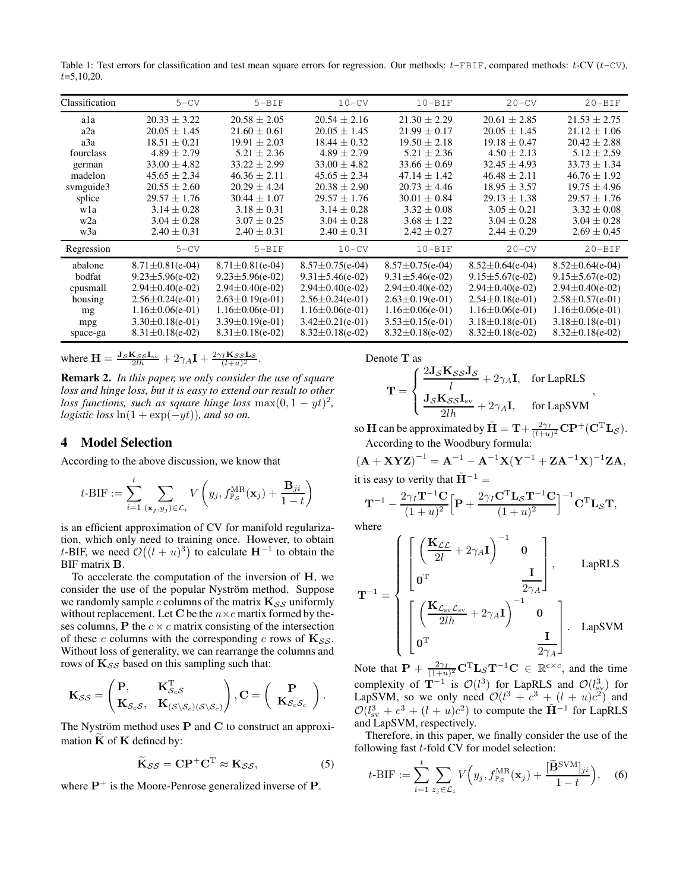<span id="page-3-0"></span>Table 1: Test errors for classification and test mean square errors for regression. Our methods:  $t$ -FBIF, compared methods:  $t$ -CV  $(t$ -CV),  $t=5,10,20$ .

| Classification   | $5 - CV$               | $5-BIF$                | $10-CV$                | $10 - BIF$             | $20 - CV$              | $20 - BIF$             |
|------------------|------------------------|------------------------|------------------------|------------------------|------------------------|------------------------|
| ala              | $20.33 \pm 3.22$       | $20.58 \pm 2.05$       | $20.54 \pm 2.16$       | $21.30 \pm 2.29$       | $20.61 \pm 2.85$       | $21.53 \pm 2.75$       |
| a2a              | $20.05 \pm 1.45$       | $21.60 \pm 0.61$       | $20.05 \pm 1.45$       | $21.99 \pm 0.17$       | $20.05 \pm 1.45$       | $21.12 \pm 1.06$       |
| a3a              | $18.51 \pm 0.21$       | $19.91 \pm 2.03$       | $18.44 \pm 0.32$       | $19.50 \pm 2.18$       | $19.18 \pm 0.47$       | $20.42 \pm 2.88$       |
| fourclass        | $4.89 \pm 2.79$        | $5.21 \pm 2.36$        | $4.89 \pm 2.79$        | $5.21 \pm 2.36$        | $4.50 \pm 2.13$        | $5.12 \pm 2.59$        |
| german           | $33.00 \pm 4.82$       | $33.22 \pm 2.99$       | $33.00 \pm 4.82$       | $33.66 \pm 0.69$       | $32.45 \pm 4.93$       | $33.73 \pm 1.34$       |
| madelon          | $45.65 \pm 2.34$       | $46.36 \pm 2.11$       | $45.65 \pm 2.34$       | $47.14 \pm 1.42$       | $46.48 \pm 2.11$       | $46.76 \pm 1.92$       |
| symguide3        | $20.55 \pm 2.60$       | $20.29 \pm 4.24$       | $20.38 \pm 2.90$       | $20.73 \pm 4.46$       | $18.95 \pm 3.57$       | $19.75 \pm 4.96$       |
| splice           | $29.57 \pm 1.76$       | $30.44 \pm 1.07$       | $29.57 \pm 1.76$       | $30.01 \pm 0.84$       | $29.13 \pm 1.38$       | $29.57 \pm 1.76$       |
| wla              | $3.14 \pm 0.28$        | $3.18 \pm 0.31$        | $3.14 \pm 0.28$        | $3.32 \pm 0.08$        | $3.05 \pm 0.21$        | $3.32 \pm 0.08$        |
| w <sub>2</sub> a | $3.04 \pm 0.28$        | $3.07 \pm 0.25$        | $3.04 \pm 0.28$        | $3.68 \pm 1.22$        | $3.04 \pm 0.28$        | $3.04 \pm 0.28$        |
| w3a              | $2.40 \pm 0.31$        | $2.40 \pm 0.31$        | $2.40 \pm 0.31$        | $2.42 \pm 0.27$        | $2.44 \pm 0.29$        | $2.69 \pm 0.45$        |
| Regression       | $5 - CV$               | $5 - BIF$              | $10-CV$                | $10 - BIF$             | $20 - CV$              | $20 - BIF$             |
| abalone          | $8.71 \pm 0.81$ (e-04) | $8.71 \pm 0.81$ (e-04) | $8.57 \pm 0.75$ (e-04) | $8.57 \pm 0.75$ (e-04) | $8.52 \pm 0.64$ (e-04) | $8.52 \pm 0.64$ (e-04) |
| bodfat           | $9.23 \pm 5.96(e-02)$  | $9.23 \pm 5.96(e-02)$  | $9.31 \pm 5.46(e-02)$  | $9.31 \pm 5.46(e-02)$  | $9.15 \pm 5.67$ (e-02) | $9.15 \pm 5.67$ (e-02) |
| cpusmall         | $2.94 \pm 0.40$ (e-02) | $2.94 \pm 0.40(e-02)$  | $2.94 \pm 0.40(e-02)$  | $2.94 \pm 0.40(e-02)$  | $2.94 \pm 0.40(e-02)$  | $2.94 \pm 0.40(e-02)$  |
| housing          | $2.56 \pm 0.24$ (e-01) | $2.63 \pm 0.19$ (e-01) | $2.56 \pm 0.24$ (e-01) | $2.63 \pm 0.19$ (e-01) | $2.54 \pm 0.18(e-01)$  | $2.58 \pm 0.57$ (e-01) |
| mg               | $1.16 \pm 0.06(e-01)$  | $1.16 \pm 0.06(e-01)$  | $1.16 \pm 0.06(e-01)$  | $1.16 \pm 0.06(e-01)$  | $1.16 \pm 0.06(e-01)$  | $1.16 \pm 0.06(e-01)$  |
| mpg              | $3.30 \pm 0.18$ (e-01) | $3.39 \pm 0.19$ (e-01) | $3.42 \pm 0.21$ (e-01) | $3.53 \pm 0.15(e-01)$  | $3.18 \pm 0.18$ (e-01) | $3.18 \pm 0.18$ (e-01) |
| space-ga         | $8.31 \pm 0.18$ (e-02) | $8.31 \pm 0.18$ (e-02) | $8.32 \pm 0.18$ (e-02) | $8.32 \pm 0.18$ (e-02) | $8.32 \pm 0.18$ (e-02) | $8.32 \pm 0.18$ (e-02) |

where 
$$
\mathbf{H} = \frac{\mathbf{J}_S \mathbf{K}_{SS} \mathbf{I}_{sv}}{2lh} + 2\gamma_A \mathbf{I} + \frac{2\gamma_I \mathbf{K}_{SS} \mathbf{L}_S}{(l+u)^2}
$$
.

Remark 2. *In this paper, we only consider the use of square loss and hinge loss, but it is easy to extend our result to other loss functions, such as square hinge loss*  $\max(0, 1 - yt)^2$ , *logistic loss*  $ln(1 + exp(-yt))$ *, and so on.* 

### 4 Model Selection

According to the above discussion, we know that

$$
t\text{-BIF} := \sum_{i=1}^{t} \sum_{(\mathbf{x}_j, y_j) \in \mathcal{L}_i} V\left(y_j, f_{\mathbb{P}_{\mathcal{S}}}^{\text{MR}}(\mathbf{x}_j) + \frac{\mathbf{B}_{ji}}{1-t}\right)
$$

is an efficient approximation of CV for manifold regularization, which only need to training once. However, to obtain t-BIF, we need  $\mathcal{O}((l+u)^3)$  to calculate  $\mathbf{H}^{-1}$  to obtain the BIF matrix B.

To accelerate the computation of the inversion of H, we consider the use of the popular Nyström method. Suppose we randomly sample c columns of the matrix  $K_{SS}$  uniformly without replacement. Let C be the  $n \times c$  martix formed by theses columns, P the  $c \times c$  matrix consisting of the intersection of these c columns with the corresponding c rows of  $\mathbf{K}_{SS}$ . Without loss of generality, we can rearrange the columns and rows of  $\mathbf{K}_{\mathcal{S}\mathcal{S}}$  based on this sampling such that:

$$
\mathbf{K}_{\mathcal{S}\mathcal{S}} = \begin{pmatrix} \mathbf{P}, & \mathbf{K}_{\mathcal{S}_c\mathcal{S}}^{\mathrm{T}} \\ \mathbf{K}_{\mathcal{S}_c\mathcal{S}}, & \mathbf{K}_{(\mathcal{S}\setminus\mathcal{S}_c)(\mathcal{S}\setminus\mathcal{S}_c)} \end{pmatrix}, \mathbf{C} = \begin{pmatrix} \mathbf{P} \\ \mathbf{K}_{\mathcal{S}_c\mathcal{S}_c} \end{pmatrix}.
$$

The Nyström method uses  $P$  and  $C$  to construct an approximation  $K$  of  $K$  defined by:

$$
\widetilde{\mathbf{K}}_{\mathcal{SS}} = \mathbf{C}\mathbf{P}^+ \mathbf{C}^{\mathrm{T}} \approx \mathbf{K}_{\mathcal{SS}},\tag{5}
$$

where  $P^+$  is the Moore-Penrose generalized inverse of P.

Denote T as

$$
\mathbf{T} = \begin{cases} \frac{2\mathbf{J}_{\mathcal{S}}\mathbf{K}_{\mathcal{S}\mathcal{S}}\mathbf{J}_{\mathcal{S}}}{l} + 2\gamma_{A}\mathbf{I}, & \text{for LapRLS} \\ \frac{\mathbf{J}_{\mathcal{S}}\mathbf{K}_{\mathcal{S}\mathcal{S}}\mathbf{I}_{\rm sv}}{2lh} + 2\gamma_{A}\mathbf{I}, & \text{for LapSVM} \end{cases},
$$

so **H** can be approximated by  $\tilde{\mathbf{H}} = \mathbf{T} + \frac{2\gamma_I}{(l+u)^2} \mathbf{C} \mathbf{P}^+ (\mathbf{C}^{\mathrm{T}} \mathbf{L}_{\mathcal{S}}).$ According to the Woodbury formula:

$$
(\mathbf{A} + \mathbf{X}\mathbf{Y}\mathbf{Z})^{-1} = \mathbf{A}^{-1} - \mathbf{A}^{-1}\mathbf{X}(\mathbf{Y}^{-1} + \mathbf{Z}\mathbf{A}^{-1}\mathbf{X})^{-1}\mathbf{Z}\mathbf{A},
$$
it is easy to verify that  $\tilde{\mathbf{H}}^{-1} =$ 

it is easy to verity that  $H^{\dagger}$ 

$$
\mathbf{T}^{-1} - \frac{2\gamma_I \mathbf{T}^{-1} \mathbf{C}}{(1+u)^2} \Big[ \mathbf{P} + \frac{2\gamma_I \mathbf{C}^{\mathrm{T}} \mathbf{L}_{\mathcal{S}} \mathbf{T}^{-1} \mathbf{C}}{(1+u)^2} \Big]^{-1} \mathbf{C}^{\mathrm{T}} \mathbf{L}_{\mathcal{S}} \mathbf{T},
$$

where

$$
\mathbf{T}^{-1} = \begin{cases} \begin{bmatrix} \left(\frac{\mathbf{K}_{\mathcal{L}\mathcal{L}}}{2l} + 2\gamma_A \mathbf{I} \right)^{-1} & \mathbf{0} \\ \mathbf{0}^{\mathrm{T}} & \mathbf{I} \\ \end{bmatrix}, & \text{LapRLS} \end{cases}
$$

$$
\mathbf{T}^{-1} = \begin{cases} \begin{bmatrix} \mathbf{K}_{\mathcal{L}_{\mathrm{sv}}\mathcal{L}_{\mathrm{sv}}} + 2\gamma_A \mathbf{I} \end{bmatrix}^{-1} & \mathbf{0} \end{cases}
$$

$$
\left[ \begin{array}{ccc} \left( \frac{\mathbf{K}_{\mathcal{L}_{\text{sv}}\mathcal{L}_{\text{sv}}}}{2lh} + 2\gamma_A \mathbf{I} \right) & \mathbf{0} \\ \mathbf{0}^{\text{T}} & \mathbf{I} \\ \mathbf{0}^{\text{T}} & \frac{\mathbf{I}}{2\gamma_A} \end{array} \right]. \text{ } \text{LapSVM}
$$

Note that  $P + \frac{2\gamma_I}{(1+u)^2} C^{\mathrm{T}} L_{\mathcal{S}} T^{-1} C \in \mathbb{R}^{c \times c}$ , and the time complexity of  $\mathbf{T}^{-1}$  is  $\mathcal{O}(l^3)$  for LapRLS and  $\mathcal{O}(l_{\text{sv}}^3)$  for LapSVM, so we only need  $\mathcal{O}(l^3 + c^3 + (l + u)c^2)$  and  $\mathcal{O}(l_{\text{sy}}^3 + c^3 + (l+u)c^2)$  to compute the  $\tilde{H}^{-1}$  for LapRLS and LapSVM, respectively.

Therefore, in this paper, we finally consider the use of the following fast  $t$ -fold CV for model selection:

$$
t\text{-BIF} := \sum_{i=1}^{t} \sum_{z_j \in \mathcal{L}_i} V\Big(y_j, f_{\mathbb{P}_{\mathcal{S}}}^{\text{MR}}(\mathbf{x}_j) + \frac{[\widetilde{\mathbf{B}}^{\text{SVM}}]_{ji}}{1-t}\Big), \quad (6)
$$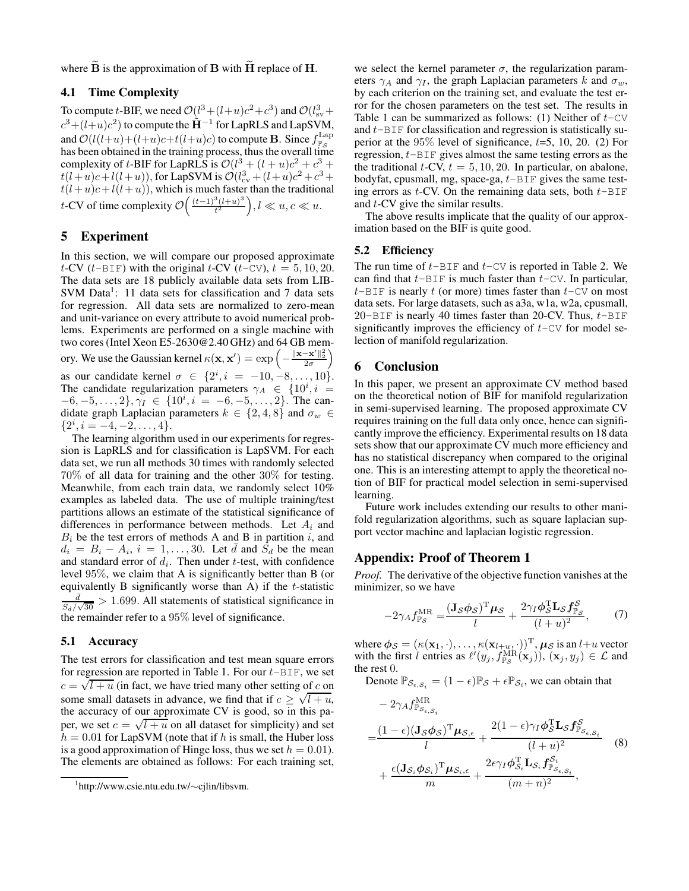where  $\tilde{B}$  is the approximation of B with  $\tilde{H}$  replace of H.

# 4.1 Time Complexity

To compute t-BIF, we need  $\mathcal{O}(l^3 + (l+u)c^2 + c^3)$  and  $\mathcal{O}(l_{sv}^3 +$  $c^3 + (l+u)c^2$ ) to compute the  $\tilde{H}^{-1}$  for LapRLS and LapSVM, and  $\mathcal{O}(l(l+u)+(l+u)c+t(l+u)c)$  to compute **B**. Since  $f_{\mathbb{P}_{\mathcal{S}}}^{\text{Lap}}$ has been obtained in the training process, thus the overall time complexity of t-BIF for LapRLS is  $\mathcal{O}(l^3 + (l+u)c^2 + c^3 +$  $t(l+u)c+l(l+u)$ , for LapSVM is  $\mathcal{O}(l_{cv}^3 + (l+u)c^2 + c^3 + c^4)$  $t(l+u)c+l(l+u)$ , which is much faster than the traditional t-CV of time complexity  $\mathcal{O}\left(\frac{(t-1)^3 (l+u)^3}{t^2}\right)$  $\left(\frac{d^3(l+u)^3}{t^2}\right), l \ll u, c \ll u.$ 

### 5 Experiment

In this section, we will compare our proposed approximate t-CV (t-BIF) with the original t-CV (t-CV),  $t = 5, 10, 20$ . The data sets are 18 publicly available data sets from LIB-SVM Data<sup>[1](#page-4-0)</sup>: 11 data sets for classification and 7 data sets for regression. All data sets are normalized to zero-mean and unit-variance on every attribute to avoid numerical problems. Experiments are performed on a single machine with two cores (Intel Xeon E5-2630@2.40 GHz) and 64 GB memory. We use the Gaussian kernel  $\kappa(\mathbf{x}, \mathbf{x}') = \exp\left(-\frac{\|\mathbf{x} - \mathbf{x}'\|_2^2}{2\sigma}\right)$  $\overline{\phantom{0}}$ as our candidate kernel  $\sigma \in \{2^i, i = -10, -8, ..., 10\}.$ The candidate regularization parameters  $\gamma_A \in \{10^i, i =$  $\{-6, -5, \ldots, 2\}, \gamma_I \in \{10^i, i = -6, -5, \ldots, 2\}.$  The candidate graph Laplacian parameters  $k \in \{2, 4, 8\}$  and  $\sigma_w \in$  ${2^i, i = -4, -2, \ldots, 4}.$ 

The learning algorithm used in our experiments for regression is LapRLS and for classification is LapSVM. For each data set, we run all methods 30 times with randomly selected 70% of all data for training and the other 30% for testing. Meanwhile, from each train data, we randomly select 10% examples as labeled data. The use of multiple training/test partitions allows an estimate of the statistical significance of differences in performance between methods. Let  $A_i$  and  $B_i$  be the test errors of methods A and B in partition i, and  $d_i = B_i - A_i$ ,  $i = 1, ..., 30$ . Let  $\bar{d}$  and  $\dot{S}_d$  be the mean and standard error of  $d_i$ . Then under t-test, with confidence level 95%, we claim that A is significantly better than B (or equivalently B significantly worse than  $\overrightarrow{A}$ ) if the t-statistic  $\bar{d}$  $\frac{d}{S_d/\sqrt{30}} > 1.699$ . All statements of statistical significance in the remainder refer to a 95% level of significance.

### 5.1 Accuracy

The test errors for classification and test mean square errors for regression are reported in Table [1.](#page-3-0) For our  $t$ -BIF, we set  $c = \sqrt{l+u}$  (in fact, we have tried many other setting of c on some small datasets in advance, we find that if  $c \ge \sqrt{l+u}$ , the accuracy of our approximate CV is good, so in this paper, we set  $c = \sqrt{l+u}$  on all dataset for simplicity) and set  $h = 0.01$  for LapSVM (note that if h is small, the Huber loss is a good approximation of Hinge loss, thus we set  $h = 0.01$ . The elements are obtained as follows: For each training set, we select the kernel parameter  $\sigma$ , the regularization parameters  $\gamma_A$  and  $\gamma_I$ , the graph Laplacian parameters k and  $\sigma_w$ , by each criterion on the training set, and evaluate the test error for the chosen parameters on the test set. The results in Table [1](#page-3-0) can be summarized as follows: (1) Neither of  $t$ -CV and  $t$ -BIF for classification and regression is statistically superior at the  $95\%$  level of significance,  $t=5$ , 10, 20. (2) For regression,  $t$ -BIF gives almost the same testing errors as the the traditional  $t$ -CV,  $t = 5, 10, 20$ . In particular, on abalone, bodyfat, cpusmall, mg, space-ga,  $t$ -BIF gives the same testing errors as  $t$ -CV. On the remaining data sets, both  $t$ -BIF and t-CV give the similar results.

The above results implicate that the quality of our approximation based on the BIF is quite good.

### 5.2 Efficiency

The run time of  $t$ -BIF and  $t$ -CV is reported in Table [2.](#page-5-0) We can find that  $t$ -BIF is much faster than  $t$ -CV. In particular,  $t$ -BIF is nearly t (or more) times faster than  $t$ -CV on most data sets. For large datasets, such as a3a, w1a, w2a, cpusmall, 20-BIF is nearly 40 times faster than 20-CV. Thus,  $t$ -BIF significantly improves the efficiency of  $t$ -CV for model selection of manifold regularization.

# 6 Conclusion

In this paper, we present an approximate CV method based on the theoretical notion of BIF for manifold regularization in semi-supervised learning. The proposed approximate CV requires training on the full data only once, hence can significantly improve the efficiency. Experimental results on 18 data sets show that our approximate CV much more efficiency and has no statistical discrepancy when compared to the original one. This is an interesting attempt to apply the theoretical notion of BIF for practical model selection in semi-supervised learning.

Future work includes extending our results to other manifold regularization algorithms, such as square laplacian support vector machine and laplacian logistic regression.

### Appendix: Proof of Theorem [1](#page-2-1)

*Proof.* The derivative of the objective function vanishes at the minimizer, so we have

<span id="page-4-2"></span>
$$
-2\gamma_A f_{\mathbb{P}_S}^{\text{MR}} = \frac{(\mathbf{J}_S \phi_S)^{\text{T}} \boldsymbol{\mu}_S}{l} + \frac{2\gamma_I \phi_S^{\text{T}} \mathbf{L}_S f_{\mathbb{P}_S}^S}{(l+u)^2},\tag{7}
$$

where  $\phi_S = (\kappa(\mathbf{x}_1, \cdot), \dots, \kappa(\mathbf{x}_{l+u}, \cdot))^{\mathrm{T}}$ ,  $\mu_S$  is an  $l+u$  vector with the first l entries as  $\ell'(y_j, f_{\mathbb{P}_S}^{\mathrm{MR}}(\mathbf{x}_j))$ ,  $(\mathbf{x}_j, y_j) \in \mathcal{L}$  and the rest 0.

Denote  $\mathbb{P}_{\mathcal{S}_{\epsilon,S_i}} = (1-\epsilon)\mathbb{P}_{\mathcal{S}} + \epsilon \mathbb{P}_{\mathcal{S}_i}$ , we can obtain that

<span id="page-4-1"></span>
$$
- 2\gamma_A f_{\mathbb{P}_{\mathcal{S}_{\epsilon,S_i}}}^{\text{MR}} = \frac{(1-\epsilon)(\mathbf{J}_{\mathcal{S}}\phi_{\mathcal{S}})^{\text{T}}\boldsymbol{\mu}_{\mathcal{S},\epsilon}}{l} + \frac{2(1-\epsilon)\gamma_I \boldsymbol{\phi}_{\mathcal{S}}^{\text{T}} \mathbf{L}_{\mathcal{S}} f_{\mathbb{P}_{\mathcal{S}_{\epsilon,S_i}}}^{\mathcal{S}}}{(l+u)^2} \qquad (8) + \frac{\epsilon(\mathbf{J}_{\mathcal{S}_i}\boldsymbol{\phi}_{\mathcal{S}_i})^{\text{T}}\boldsymbol{\mu}_{\mathcal{S}_{i,\epsilon}}}{m} + \frac{2\epsilon\gamma_I \boldsymbol{\phi}_{\mathcal{S}_i}^{\text{T}} \mathbf{L}_{\mathcal{S}_i} f_{\mathbb{P}_{\mathcal{S}_{\epsilon,S_i}}}^{\mathcal{S}_i}}{(m+n)^2},
$$

<span id="page-4-0"></span><sup>1</sup> http://www.csie.ntu.edu.tw/∼cjlin/libsvm.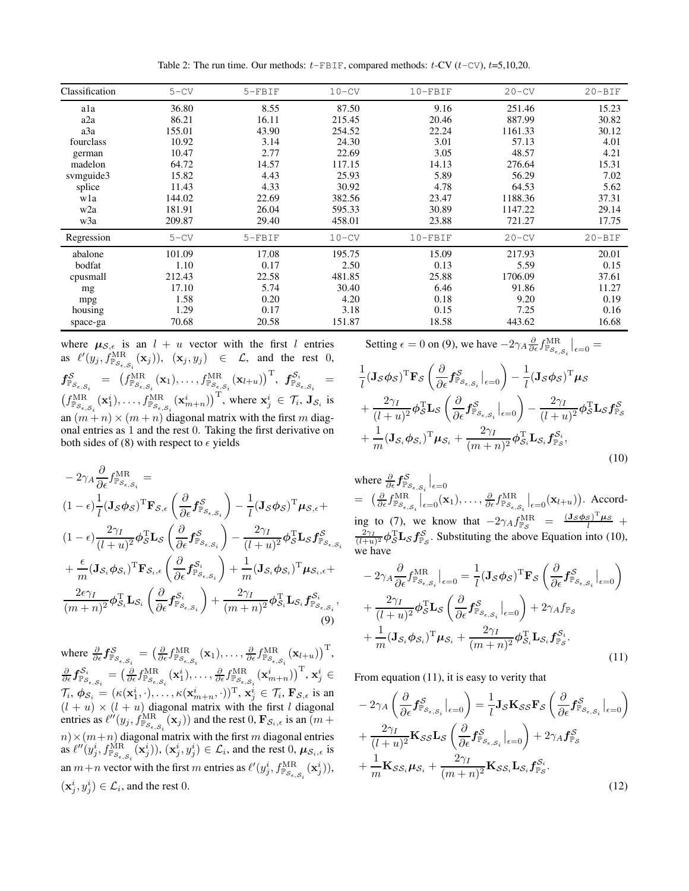Table 2: The run time. Our methods:  $t$ -FBIF, compared methods:  $t$ -CV  $(t$ -CV),  $t$ =5,10,20.

<span id="page-5-0"></span>

| Classification   | $5 - CV$ | $5-FBIF$ | $10-CV$ | $10-FBIF$ | $20 - CV$ | $20 - BIF$ |
|------------------|----------|----------|---------|-----------|-----------|------------|
| ala              | 36.80    | 8.55     | 87.50   | 9.16      | 251.46    | 15.23      |
| a2a              | 86.21    | 16.11    | 215.45  | 20.46     | 887.99    | 30.82      |
| a3a              | 155.01   | 43.90    | 254.52  | 22.24     | 1161.33   | 30.12      |
| fourclass        | 10.92    | 3.14     | 24.30   | 3.01      | 57.13     | 4.01       |
| german           | 10.47    | 2.77     | 22.69   | 3.05      | 48.57     | 4.21       |
| madelon          | 64.72    | 14.57    | 117.15  | 14.13     | 276.64    | 15.31      |
| svmguide3        | 15.82    | 4.43     | 25.93   | 5.89      | 56.29     | 7.02       |
| splice           | 11.43    | 4.33     | 30.92   | 4.78      | 64.53     | 5.62       |
| wla              | 144.02   | 22.69    | 382.56  | 23.47     | 1188.36   | 37.31      |
| w <sub>2</sub> a | 181.91   | 26.04    | 595.33  | 30.89     | 1147.22   | 29.14      |
| w3a              | 209.87   | 29.40    | 458.01  | 23.88     | 721.27    | 17.75      |
| Regression       | $5 - CV$ | $5-FBIF$ | $10-CV$ | $10-FBIF$ | $20 - CV$ | $20 - BIF$ |
| abalone          | 101.09   | 17.08    | 195.75  | 15.09     | 217.93    | 20.01      |
| bodfat           | 1.10     | 0.17     | 2.50    | 0.13      | 5.59      | 0.15       |
| cpusmall         | 212.43   | 22.58    | 481.85  | 25.88     | 1706.09   | 37.61      |
| mg               | 17.10    | 5.74     | 30.40   | 6.46      | 91.86     | 11.27      |
| mpg              | 1.58     | 0.20     | 4.20    | 0.18      | 9.20      | 0.19       |
| housing          | 1.29     | 0.17     | 3.18    | 0.15      | 7.25      | 0.16       |
| space-ga         | 70.68    | 20.58    | 151.87  | 18.58     | 443.62    | 16.68      |

where  $\mu_{\mathcal{S},\epsilon}$  is an  $l + u$  vector with the first l entries as  $\ell'(y_j, f_{\mathbb{P}_{\mathcal{S}_{\epsilon,\mathcal{S}_i}}}^{\text{MR}}(\mathbf{x}_j))$ ,  $(\mathbf{x}_j, y_j) \in \mathcal{L}$ , and the rest 0,  $\textbf{\textit{f}}^{\mathcal{S}}_{\mathbb{P}_{\mathcal{S}_{\epsilon,S_i}}} \;\; = \;\; \big( \textbf{\textit{f}}^{\text{MR}}_{\mathbb{P}_{\mathcal{S}_{\epsilon,S_i}}}(\mathbf{x}_1), \ldots, \textbf{\textit{f}}^{\text{MR}}_{\mathbb{P}_{\mathcal{S}_{\epsilon,S_i}}}(\mathbf{x}_{l+u}) \big)^{\text{T}} , \; \textbf{\textit{f}}^{\mathcal{S}_i}_{\mathbb{P}_{\mathcal{S}_{\epsilon,S_i}}} \;\; =$  $(f_{\mathbb{P}_{\mathcal{S}_{\epsilon,S_i}}}^{\text{MR}}(\mathbf{x}_1^i),\ldots,f_{\mathbb{P}_{\mathcal{S}_{\epsilon,S_i}}}^{\text{MR}}(\mathbf{x}_{m+n}^i))^{\text{T}}$ , where  $\mathbf{x}_j^i \in \mathcal{T}_i$ ,  $\mathbf{J}_{\mathcal{S}_i}$  is an  $(m + n) \times (m + n)$  diagonal matrix with the first m diagonal entries as 1 and the rest 0. Taking the first derivative on both sides of [\(8\)](#page-4-1) with respect to  $\epsilon$  yields

$$
-2\gamma_{A}\frac{\partial}{\partial\epsilon}f_{\mathbb{P}_{S_{\epsilon,S_{i}}}^{MR}}^{\text{MR}} =
$$
\n
$$
(1 - \epsilon)\frac{1}{l}(\mathbf{J}_{S}\phi_{S})^{\text{T}}\mathbf{F}_{S,\epsilon}\left(\frac{\partial}{\partial\epsilon}f_{\mathbb{P}_{S_{\epsilon,S_{i}}}}^{S}\right) - \frac{1}{l}(\mathbf{J}_{S}\phi_{S})^{\text{T}}\mu_{S,\epsilon}+
$$
\n
$$
(1 - \epsilon)\frac{2\gamma_{I}}{(l + u)^{2}}\phi_{S}^{\text{T}}\mathbf{L}_{S}\left(\frac{\partial}{\partial\epsilon}f_{\mathbb{P}_{S_{\epsilon,S_{i}}}}^{S}\right) - \frac{2\gamma_{I}}{(l + u)^{2}}\phi_{S}^{\text{T}}\mathbf{L}_{S}f_{\mathbb{P}_{S_{\epsilon,S_{i}}}^{S}}^{S}
$$
\n
$$
+ \frac{\epsilon}{m}(\mathbf{J}_{S_{i}}\phi_{S_{i}})^{\text{T}}\mathbf{F}_{S_{i},\epsilon}\left(\frac{\partial}{\partial\epsilon}f_{\mathbb{P}_{S_{\epsilon,S_{i}}}^{S_{i}}}\right) + \frac{1}{m}(\mathbf{J}_{S_{i}}\phi_{S_{i}})^{\text{T}}\mu_{S_{i},\epsilon}+
$$
\n
$$
\frac{2\epsilon\gamma_{I}}{(m + n)^{2}}\phi_{S_{i}}^{\text{T}}\mathbf{L}_{S_{i}}\left(\frac{\partial}{\partial\epsilon}f_{\mathbb{P}_{S_{\epsilon,S_{i}}}^{S_{i}}}\right) + \frac{2\gamma_{I}}{(m + n)^{2}}\phi_{S_{i}}^{\text{T}}\mathbf{L}_{S_{i}}f_{\mathbb{P}_{S_{\epsilon,S_{i}}}^{S_{i}}},\tag{9}
$$

where  $\frac{\partial}{\partial \epsilon} f_{\mathbb{P}_{\mathcal{S}_{\epsilon,S_i}}}^{\mathcal{S}} = \left( \frac{\partial}{\partial \epsilon} f_{\mathbb{P}_{\mathcal{S}_{\epsilon,S_i}}}^{\text{MR}}(\mathbf{x}_1), \ldots, \frac{\partial}{\partial \epsilon} f_{\mathbb{P}_{\mathcal{S}_{\epsilon,S_i}}}^{\text{MR}}(\mathbf{x}_{l+u}) \right)^{\text{T}},$  $\frac{\partial}{\partial \epsilon} f^{\mathcal{S}_i}_{\mathbb{P}_{\mathcal{S}_{\epsilon,S_i}}} = \bigl(\frac{\partial}{\partial \epsilon} f^{\text{MR}}_{\mathbb{P}_{\mathcal{S}_{\epsilon,S_i}}}(\mathbf{x}_1^i), \ldots, \frac{\partial}{\partial \epsilon} f^{\text{MR}}_{\mathbb{P}_{\mathcal{S}_{\epsilon,S_i}}}(\mathbf{x}_{m+n}^i)\bigr)^{\text{T}}, \mathbf{x}_j^i \in$  $\mathcal{T}_i, \phi_{\mathcal{S}_i} = (\kappa(\mathbf{x}_1^i, \cdot), \dots, \kappa(\mathbf{x}_{m+n}^i, \cdot))^{\mathrm{T}}, \mathbf{x}_j^i \in \mathcal{T}_i, \mathbf{F}_{\mathcal{S}, \epsilon}$  is an  $(l + u) \times (l + u)$  diagonal matrix with the first l diagonal entries as  $\ell''(y_j, f_{\mathbb{P}_{\mathcal{S}_{\epsilon}, \mathcal{S}_i}}^{\text{MR}}(\mathbf{x}_j))$  and the rest 0,  $\mathbf{F}_{\mathcal{S}_i, \epsilon}$  is an  $(m +$  $m) \times (m+n)$  diagonal matrix with the first m diagonal entries as  $\ell''(y_j^i, f_{\mathbb{P}_{\mathcal{S}_{\epsilon,S_i}}}^{\text{MR}}(\mathbf{x}_j^i))$ ,  $(\mathbf{x}_j^i, y_j^i) \in \mathcal{L}_i$ , and the rest 0,  $\mu_{\mathcal{S}_i,\epsilon}$  is an  $m+n$  vector with the first m entries as  $\ell'(y_j^i, f_{\mathbb{P}_{\mathcal{S}_{\epsilon,S_i}}}^{\text{MR}}(\mathbf{x}_j^i)),$  $(\mathbf{x}_j^i, y_j^i) \in \mathcal{L}_i$ , and the rest 0.

Setting  $\epsilon = 0$  on [\(9\)](#page-5-1), we have  $-2\gamma_A \frac{\partial}{\partial \epsilon} f_{\mathbb{P}_{\mathcal{S}_{\epsilon,S_i}}}^{\text{MR}}\big|_{\epsilon=0} =$ 

$$
\frac{1}{l}(\mathbf{J}_{\mathcal{S}}\phi_{\mathcal{S}})^{\mathrm{T}}\mathbf{F}_{\mathcal{S}}\left(\frac{\partial}{\partial\epsilon}f_{\mathbb{P}_{\mathcal{S}_{\epsilon,S_i}}}\big|_{\epsilon=0}\right) - \frac{1}{l}(\mathbf{J}_{\mathcal{S}}\phi_{\mathcal{S}})^{\mathrm{T}}\boldsymbol{\mu}_{\mathcal{S}} \n+ \frac{2\gamma_{I}}{(l+u)^{2}}\phi_{\mathcal{S}}^{\mathrm{T}}\mathbf{L}_{\mathcal{S}}\left(\frac{\partial}{\partial\epsilon}f_{\mathbb{P}_{\mathcal{S}_{\epsilon,S_i}}}\big|_{\epsilon=0}\right) - \frac{2\gamma_{I}}{(l+u)^{2}}\phi_{\mathcal{S}}^{\mathrm{T}}\mathbf{L}_{\mathcal{S}}f_{\mathbb{P}_{\mathcal{S}}}^{\mathcal{S}} \n+ \frac{1}{m}(\mathbf{J}_{\mathcal{S}_{i}}\phi_{\mathcal{S}_{i}})^{\mathrm{T}}\boldsymbol{\mu}_{\mathcal{S}_{i}} + \frac{2\gamma_{I}}{(m+n)^{2}}\phi_{\mathcal{S}_{i}}^{\mathrm{T}}\mathbf{L}_{\mathcal{S}_{i}}f_{\mathbb{P}_{\mathcal{S}}}^{\mathcal{S}_{i}},
$$
\n(10)

<span id="page-5-2"></span>where  $\frac{\partial}{\partial \epsilon} f^{\mathcal{S}}_{\mathbb{P}_{\mathcal{S}_{\epsilon,S_i}}} \big|_{\epsilon=0}$  $= \left. \left( \frac{\partial}{\partial \epsilon} f^{\text{MR}}_{\mathbb{P}_{\mathcal{S}_{\epsilon,S_i}}} \right|_{\epsilon=0}^{\epsilon}(\mathbf{x}_1), \ldots, \frac{\partial}{\partial \epsilon} f^{\text{MR}}_{\mathbb{P}_{\mathcal{S}_{\epsilon,S_i}}} \right|_{\epsilon=0}^{\epsilon}(\mathbf{x}_{l+u}) \right).$  Accord-ing to [\(7\)](#page-4-2), we know that  $-2\gamma_A f_{\mathbb{P}_S}^{MR} = \frac{(J_S \phi_S)^T \mu_S}{l} + \frac{2\gamma_I}{(l+u)^2} \phi_S^T \mathbf{L}_S f_{\mathbb{P}_S}^S$ . Substituting the above Equation into [\(10\)](#page-5-2), we have

<span id="page-5-1"></span>
$$
-2\gamma_A \frac{\partial}{\partial \epsilon} f_{\mathbb{P}_{\mathcal{S}_{\epsilon,S_i}}}^{\text{MR}}\Big|_{\epsilon=0} = \frac{1}{l} (\mathbf{J}_{\mathcal{S}} \phi_{\mathcal{S}})^{\text{T}} \mathbf{F}_{\mathcal{S}} \left( \frac{\partial}{\partial \epsilon} f_{\mathbb{P}_{\mathcal{S}_{\epsilon,S_i}}}^{\mathcal{S}}\Big|_{\epsilon=0} \right) + \frac{2\gamma_I}{(l+u)^2} \phi_{\mathcal{S}}^{\text{T}} \mathbf{L}_{\mathcal{S}} \left( \frac{\partial}{\partial \epsilon} f_{\mathbb{P}_{\mathcal{S}_{\epsilon,S_i}}}^{\mathcal{S}}\Big|_{\epsilon=0} \right) + 2\gamma_A f_{\mathbb{P}_{\mathcal{S}}} + \frac{1}{m} (\mathbf{J}_{\mathcal{S}_i} \phi_{\mathcal{S}_i})^{\text{T}} \mu_{\mathcal{S}_i} + \frac{2\gamma_I}{(m+n)^2} \phi_{\mathcal{S}_i}^{\text{T}} \mathbf{L}_{\mathcal{S}_i} f_{\mathbb{P}_{\mathcal{S}}}^{\mathcal{S}_i}.
$$
(11)

From equation [\(11\)](#page-5-3), it is easy to verity that

<span id="page-5-4"></span><span id="page-5-3"></span>
$$
-2\gamma_A \left(\frac{\partial}{\partial \epsilon} f^S_{\mathbb{P}_{\mathcal{S}_{\epsilon,S_i}}}\Big|_{\epsilon=0}\right) = \frac{1}{l} \mathbf{J}_{\mathcal{S}} \mathbf{K}_{\mathcal{S}\mathcal{S}} \mathbf{F}_{\mathcal{S}} \left(\frac{\partial}{\partial \epsilon} f^S_{\mathbb{P}_{\mathcal{S}_{\epsilon,S_i}}}\Big|_{\epsilon=0}\right) + \frac{2\gamma_I}{(l+u)^2} \mathbf{K}_{\mathcal{S}\mathcal{S}} \mathbf{L}_{\mathcal{S}} \left(\frac{\partial}{\partial \epsilon} f^S_{\mathbb{P}_{\mathcal{S}_{\epsilon,S_i}}}\Big|_{\epsilon=0}\right) + 2\gamma_A f^S_{\mathbb{P}_{\mathcal{S}}} + \frac{1}{m} \mathbf{K}_{\mathcal{S}\mathcal{S}_i} \mu_{\mathcal{S}_i} + \frac{2\gamma_I}{(m+n)^2} \mathbf{K}_{\mathcal{S}\mathcal{S}_i} \mathbf{L}_{\mathcal{S}_i} f^{\mathcal{S}_i}_{\mathbb{P}_{\mathcal{S}}}.
$$
\n(12)